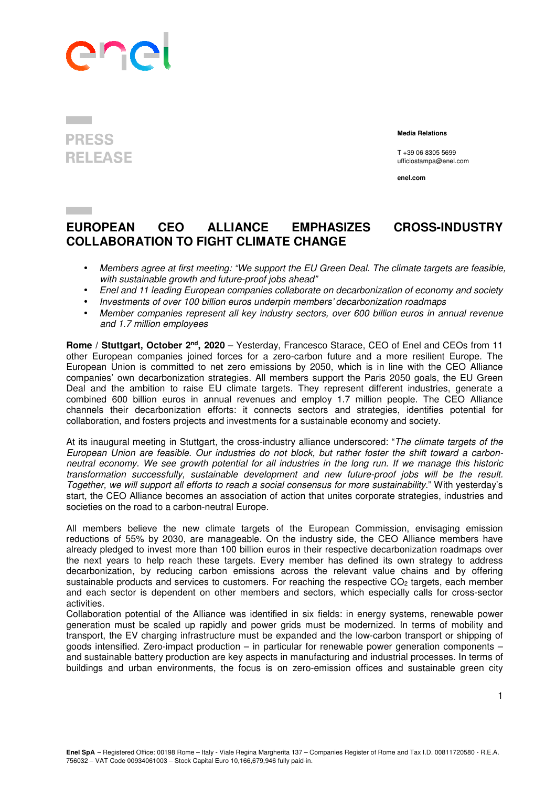

## **PRESS RELEASE**

 **Media Relations** 

T +39 06 8305 5699 ufficiostampa@enel.com

**enel.com**

## **EUROPEAN CEO ALLIANCE EMPHASIZES CROSS-INDUSTRY COLLABORATION TO FIGHT CLIMATE CHANGE**

- *Members agree at first meeting: "We support the EU Green Deal. The climate targets are feasible, with sustainable growth and future-proof jobs ahead"*
- *Enel and 11 leading European companies collaborate on decarbonization of economy and society*
- *Investments of over 100 billion euros underpin members' decarbonization roadmaps*
- *Member companies represent all key industry sectors, over 600 billion euros in annual revenue and 1.7 million employees*

**Rome / Stuttgart, October 2nd, 2020** – Yesterday, Francesco Starace, CEO of Enel and CEOs from 11 other European companies joined forces for a zero-carbon future and a more resilient Europe. The European Union is committed to net zero emissions by 2050, which is in line with the CEO Alliance companies' own decarbonization strategies. All members support the Paris 2050 goals, the EU Green Deal and the ambition to raise EU climate targets. They represent different industries, generate a combined 600 billion euros in annual revenues and employ 1.7 million people. The CEO Alliance channels their decarbonization efforts: it connects sectors and strategies, identifies potential for collaboration, and fosters projects and investments for a sustainable economy and society.

At its inaugural meeting in Stuttgart, the cross-industry alliance underscored: "*The climate targets of the European Union are feasible. Our industries do not block, but rather foster the shift toward a carbonneutral economy. We see growth potential for all industries in the long run. If we manage this historic transformation successfully, sustainable development and new future-proof jobs will be the result. Together, we will support all efforts to reach a social consensus for more sustainability*." With yesterday's start, the CEO Alliance becomes an association of action that unites corporate strategies, industries and societies on the road to a carbon-neutral Europe.

All members believe the new climate targets of the European Commission, envisaging emission reductions of 55% by 2030, are manageable. On the industry side, the CEO Alliance members have already pledged to invest more than 100 billion euros in their respective decarbonization roadmaps over the next years to help reach these targets. Every member has defined its own strategy to address decarbonization, by reducing carbon emissions across the relevant value chains and by offering sustainable products and services to customers. For reaching the respective  $CO<sub>2</sub>$  targets, each member and each sector is dependent on other members and sectors, which especially calls for cross-sector activities.

Collaboration potential of the Alliance was identified in six fields: in energy systems, renewable power generation must be scaled up rapidly and power grids must be modernized. In terms of mobility and transport, the EV charging infrastructure must be expanded and the low-carbon transport or shipping of goods intensified. Zero-impact production – in particular for renewable power generation components – and sustainable battery production are key aspects in manufacturing and industrial processes. In terms of buildings and urban environments, the focus is on zero-emission offices and sustainable green city